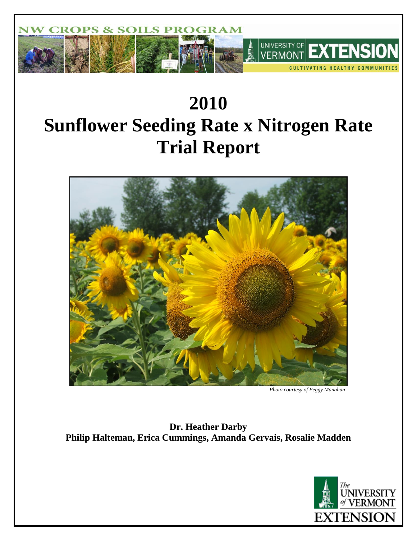

# **2010 Sunflower Seeding Rate x Nitrogen Rate Trial Report**



*Photo courtesy of Peggy Manahan*

**Dr. Heather Darby Philip Halteman, Erica Cummings, Amanda Gervais, Rosalie Madden**

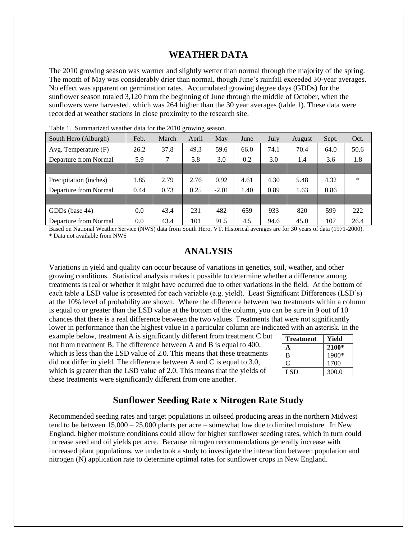#### **WEATHER DATA**

The 2010 growing season was warmer and slightly wetter than normal through the majority of the spring. The month of May was considerably drier than normal, though June's rainfall exceeded 30-year averages. No effect was apparent on germination rates. Accumulated growing degree days (GDDs) for the sunflower season totaled 3,120 from the beginning of June through the middle of October, when the sunflowers were harvested, which was 264 higher than the 30 year averages (table 1). These data were recorded at weather stations in close proximity to the research site.

| South Hero (Alburgh)                                                             | Feb.             | March  | April | May     | June | July | August | Sept. | Oct.   |
|----------------------------------------------------------------------------------|------------------|--------|-------|---------|------|------|--------|-------|--------|
| Avg. Temperature $(F)$                                                           | 26.2             | 37.8   | 49.3  | 59.6    | 66.0 | 74.1 | 70.4   | 64.0  | 50.6   |
| Departure from Normal                                                            | 5.9              | $\tau$ | 5.8   | 3.0     | 0.2  | 3.0  | 1.4    | 3.6   | 1.8    |
|                                                                                  |                  |        |       |         |      |      |        |       |        |
| Precipitation (inches)                                                           | 1.85             | 2.79   | 2.76  | 0.92    | 4.61 | 4.30 | 5.48   | 4.32  | $\ast$ |
| Departure from Normal                                                            | 0.44             | 0.73   | 0.25  | $-2.01$ | 1.40 | 0.89 | 1.63   | 0.86  |        |
|                                                                                  |                  |        |       |         |      |      |        |       |        |
| GDDs (base 44)                                                                   | 0.0 <sub>1</sub> | 43.4   | 231   | 482     | 659  | 933  | 820    | 599   | 222    |
| Departure from Normal<br>$\sim$ $\sim$ $\sim$ $\sim$ $\sim$ $\sim$ $\sim$ $\sim$ | $0.0\,$          | 43.4   | 101   | 91.5    | 4.5  | 94.6 | 45.0   | 107   | 26.4   |

Table 1. Summarized weather data for the 2010 growing season.

Based on National Weather Service (NWS) data from South Hero, VT. Historical averages are for 30 years of data (1971-2000). \* Data not available from NWS

## **ANALYSIS**

Variations in yield and quality can occur because of variations in genetics, soil, weather, and other growing conditions. Statistical analysis makes it possible to determine whether a difference among treatments is real or whether it might have occurred due to other variations in the field. At the bottom of each table a LSD value is presented for each variable (e.g. yield). Least Significant Differences (LSD's) at the 10% level of probability are shown. Where the difference between two treatments within a column is equal to or greater than the LSD value at the bottom of the column, you can be sure in 9 out of 10 chances that there is a real difference between the two values. Treatments that were not significantly lower in performance than the highest value in a particular column are indicated with an asterisk. In the

example below, treatment A is significantly different from treatment C but not from treatment B. The difference between A and B is equal to 400, which is less than the LSD value of 2.0. This means that these treatments did not differ in yield. The difference between A and C is equal to 3.0, which is greater than the LSD value of 2.0. This means that the yields of these treatments were significantly different from one another.

| Treatment | Yield   |
|-----------|---------|
| А         | 2100*   |
| B         | $1900*$ |
|           | 1700    |
| LSD       | 300.0   |

#### **Sunflower Seeding Rate x Nitrogen Rate Study**

Recommended seeding rates and target populations in oilseed producing areas in the northern Midwest tend to be between 15,000 – 25,000 plants per acre – somewhat low due to limited moisture. In New England, higher moisture conditions could allow for higher sunflower seeding rates, which in turn could increase seed and oil yields per acre. Because nitrogen recommendations generally increase with increased plant populations, we undertook a study to investigate the interaction between population and nitrogen (N) application rate to determine optimal rates for sunflower crops in New England.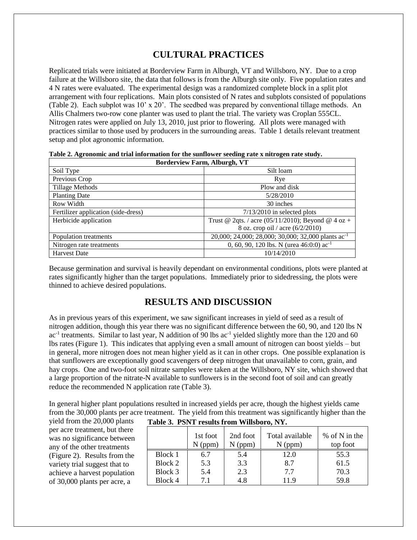# **CULTURAL PRACTICES**

Replicated trials were initiated at Borderview Farm in Alburgh, VT and Willsboro, NY. Due to a crop failure at the Willsboro site, the data that follows is from the Alburgh site only. Five population rates and 4 N rates were evaluated. The experimental design was a randomized complete block in a split plot arrangement with four replications. Main plots consisted of N rates and subplots consisted of populations (Table 2). Each subplot was 10' x 20'. The seedbed was prepared by conventional tillage methods. An Allis Chalmers two-row cone planter was used to plant the trial. The variety was Croplan 555CL. Nitrogen rates were applied on July 13, 2010, just prior to flowering. All plots were managed with practices similar to those used by producers in the surrounding areas. Table 1 details relevant treatment setup and plot agronomic information.

| <b>Borderview Farm, Alburgh, VT</b> |                                                                |  |  |  |  |
|-------------------------------------|----------------------------------------------------------------|--|--|--|--|
| Soil Type                           | Silt loam                                                      |  |  |  |  |
| Previous Crop                       | Rye                                                            |  |  |  |  |
| <b>Tillage Methods</b>              | Plow and disk                                                  |  |  |  |  |
| <b>Planting Date</b>                | 5/28/2010                                                      |  |  |  |  |
| Row Width                           | 30 inches                                                      |  |  |  |  |
| Fertilizer application (side-dress) | $7/13/2010$ in selected plots                                  |  |  |  |  |
| Herbicide application               | Trust @ 2qts. / acre (05/11/2010); Beyond @ 4 oz +             |  |  |  |  |
|                                     | 8 oz. crop oil / acre (6/2/2010)                               |  |  |  |  |
| Population treatments               | 20,000; 24,000; 28,000; 30,000; 32,000 plants ac <sup>-1</sup> |  |  |  |  |
| Nitrogen rate treatments            | 0, 60, 90, 120 lbs. N (urea $46:0:0$ ) ac <sup>-1</sup>        |  |  |  |  |
| <b>Harvest Date</b>                 | 10/14/2010                                                     |  |  |  |  |

|  |  | Table 2. Agronomic and trial information for the sunflower seeding rate x nitrogen rate study. |
|--|--|------------------------------------------------------------------------------------------------|
|  |  |                                                                                                |

Because germination and survival is heavily dependant on environmental conditions, plots were planted at rates significantly higher than the target populations. Immediately prior to sidedressing, the plots were thinned to achieve desired populations.

## **RESULTS AND DISCUSSION**

As in previous years of this experiment, we saw significant increases in yield of seed as a result of nitrogen addition, though this year there was no significant difference between the 60, 90, and 120 lbs N ac<sup>-1</sup> treatments. Similar to last year, N addition of 90 lbs ac<sup>-1</sup> yielded slightly more than the 120 and 60 lbs rates (Figure 1). This indicates that applying even a small amount of nitrogen can boost yields – but in general, more nitrogen does not mean higher yield as it can in other crops. One possible explanation is that sunflowers are exceptionally good scavengers of deep nitrogen that unavailable to corn, grain, and hay crops. One and two-foot soil nitrate samples were taken at the Willsboro, NY site, which showed that a large proportion of the nitrate-N available to sunflowers is in the second foot of soil and can greatly reduce the recommended N application rate (Table 3).

In general higher plant populations resulted in increased yields per acre, though the highest yields came from the 30,000 plants per acre treatment. The yield from this treatment was significantly higher than the

yield from the 20,000 plants per acre treatment, but there was no significance between any of the other treatments (Figure 2). Results from the variety trial suggest that to achieve a harvest population of 30,000 plants per acre, a

|         | 1st foot<br>(ppm) | 2nd foot<br>(ppm) | Total available<br>(ppm) | $%$ of N in the<br>top foot |
|---------|-------------------|-------------------|--------------------------|-----------------------------|
| Block 1 | 6.7               | 5.4               | 12.0                     | 55.3                        |
| Block 2 | 5.3               | 3.3               | 8.7                      | 61.5                        |
| Block 3 | 5.4               | 2.3               | 77                       | 70.3                        |
| Block 4 | 71                | 4.8               | 119                      | 59.8                        |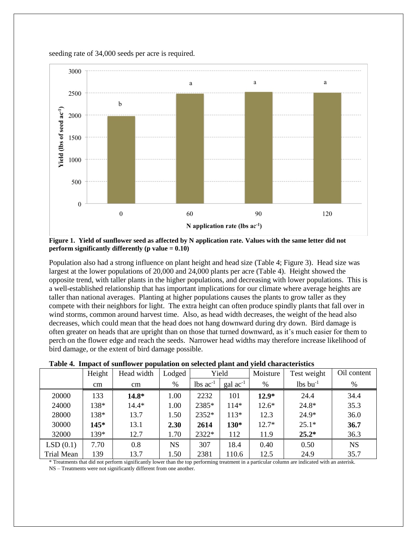

seeding rate of 34,000 seeds per acre is required.

**Figure 1. Yield of sunflower seed as affected by N application rate. Values with the same letter did not perform significantly differently (p value = 0.10)**

Population also had a strong influence on plant height and head size (Table 4; Figure 3). Head size was largest at the lower populations of 20,000 and 24,000 plants per acre (Table 4). Height showed the opposite trend, with taller plants in the higher populations, and decreasing with lower populations. This is a well-established relationship that has important implications for our climate where average heights are taller than national averages. Planting at higher populations causes the plants to grow taller as they compete with their neighbors for light. The extra height can often produce spindly plants that fall over in wind storms, common around harvest time. Also, as head width decreases, the weight of the head also decreases, which could mean that the head does not hang downward during dry down. Bird damage is often greater on heads that are upright than on those that turned downward, as it's much easier for them to perch on the flower edge and reach the seeds. Narrower head widths may therefore increase likelihood of bird damage, or the extent of bird damage possible.

|  | Table 4. Impact of sunflower population on selected plant and yield characteristics |  |  |  |
|--|-------------------------------------------------------------------------------------|--|--|--|
|  |                                                                                     |  |  |  |

|            | Height | Head width | Lodged    | Yield                  |                      | Moisture | Test weight            | Oil content |
|------------|--------|------------|-----------|------------------------|----------------------|----------|------------------------|-------------|
|            | cm     | $\rm cm$   | %         | $lbs$ ac <sup>-1</sup> | $\text{gal ac}^{-1}$ | %        | $lbs$ bu <sup>-1</sup> | $\%$        |
| 20000      | 133    | $14.8*$    | 1.00      | 2232                   | 101                  | $12.9*$  | 24.4                   | 34.4        |
| 24000      | 138*   | $14.4*$    | 1.00      | 2385*                  | $114*$               | $12.6*$  | 24.8*                  | 35.3        |
| 28000      | 138*   | 13.7       | 1.50      | 2352*                  | $113*$               | 12.3     | $24.9*$                | 36.0        |
| 30000      | $145*$ | 13.1       | 2.30      | 2614                   | $130*$               | $12.7*$  | $25.1*$                | 36.7        |
| 32000      | 139*   | 12.7       | 1.70      | 2322*                  | 112                  | 11.9     | $25.2*$                | 36.3        |
| LSD(0.1)   | 7.70   | 0.8        | <b>NS</b> | 307                    | 18.4                 | 0.40     | 0.50                   | <b>NS</b>   |
| Trial Mean | 139    | 13.7       | 1.50      | 2381                   | 110.6                | 12.5     | 24.9                   | 35.7        |

\* Treatments that did not perform significantly lower than the top performing treatment in a particular column are indicated with an asterisk. NS – Treatments were not significantly different from one another.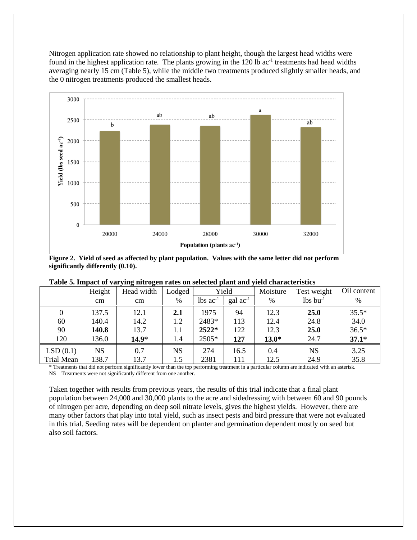Nitrogen application rate showed no relationship to plant height, though the largest head widths were found in the highest application rate. The plants growing in the 120 lb ac<sup>-1</sup> treatments had head widths averaging nearly 15 cm (Table 5), while the middle two treatments produced slightly smaller heads, and the 0 nitrogen treatments produced the smallest heads.



**Figure 2. Yield of seed as affected by plant population. Values with the same letter did not perform significantly differently (0.10).**

|                   |           | $\overline{\phantom{a}}$ |           |                        |                      |         |                        |             |
|-------------------|-----------|--------------------------|-----------|------------------------|----------------------|---------|------------------------|-------------|
|                   | Height    | Head width               | Lodged    |                        | Yield                |         | Test weight            | Oil content |
|                   | cm        | cm                       | %         | $lbs$ ac <sup>-1</sup> | $\text{gal ac}^{-1}$ | $\%$    | $lbs$ bu <sup>-1</sup> | %           |
| $\Omega$          | 137.5     | 12.1                     | 2.1       | 1975                   | 94                   | 12.3    | 25.0                   | $35.5*$     |
| 60                | 140.4     | 14.2                     | 1.2       | 2483*                  | 113                  | 12.4    | 24.8                   | 34.0        |
| 90                | 140.8     | 13.7                     | 1.1       | $2522*$                | 122                  | 12.3    | 25.0                   | $36.5*$     |
| 120               | 136.0     | $14.9*$                  | 1.4       | 2505*                  | 127                  | $13.0*$ | 24.7                   | $37.1*$     |
| LSD(0.1)          | <b>NS</b> | 0.7                      | <b>NS</b> | 274                    | 16.5                 | 0.4     | <b>NS</b>              | 3.25        |
| <b>Trial Mean</b> | 138.7     | 13.7                     | 1.5       | 2381                   | 111                  | 12.5    | 24.9                   | 35.8        |

|  |  |  | Table 5. Impact of varying nitrogen rates on selected plant and yield characteristics |
|--|--|--|---------------------------------------------------------------------------------------|
|  |  |  |                                                                                       |

\* Treatments that did not perform significantly lower than the top performing treatment in a particular column are indicated with an asterisk. NS – Treatments were not significantly different from one another.

Taken together with results from previous years, the results of this trial indicate that a final plant population between 24,000 and 30,000 plants to the acre and sidedressing with between 60 and 90 pounds of nitrogen per acre, depending on deep soil nitrate levels, gives the highest yields. However, there are many other factors that play into total yield, such as insect pests and bird pressure that were not evaluated in this trial. Seeding rates will be dependent on planter and germination dependent mostly on seed but also soil factors.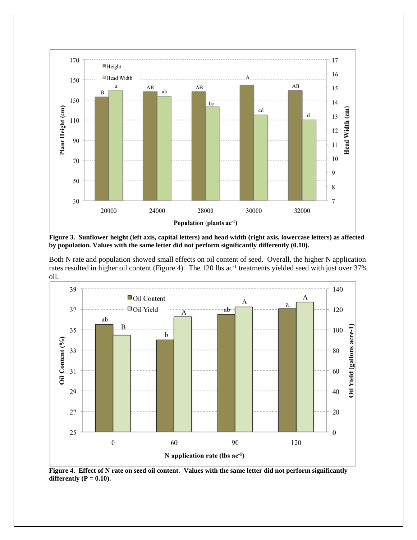

**Figure 3. Sunflower height (left axis, capital letters) and head width (right axis, lowercase letters) as affected by population. Values with the same letter did not perform significantly differently (0.10).**

Both N rate and population showed small effects on oil content of seed. Overall, the higher N application rates resulted in higher oil content (Figure 4). The 120 lbs ac<sup>-1</sup> treatments yielded seed with just over 37% oil.



**Figure 4. Effect of N rate on seed oil content. Values with the same letter did not perform significantly**  differently  $(P = 0.10)$ .